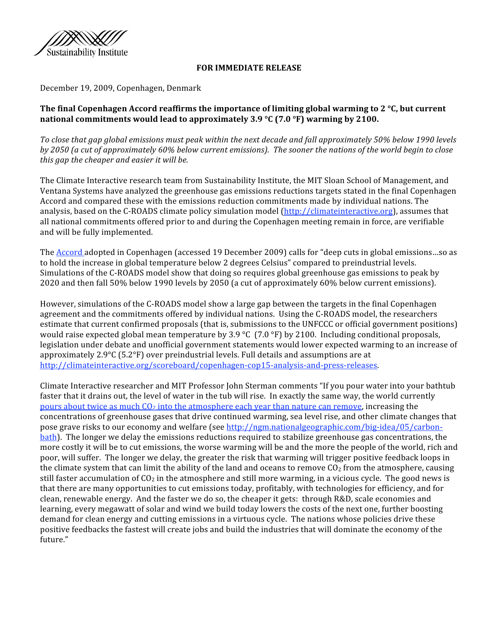

## **FOR IMMEDIATE RELEASE**

December 19, 2009, Copenhagen, Denmark

# **The final Copenhagen Accord reaffirms the importance of limiting global warming to 2 °C, but current national commitments would lead to approximately 3.9 °C (7.0 °F) warming by 2100.**

*To close that gap global emissions must peak within the next decade and fall approximately 50% below 1990 levels by 2050 (a cut of approximately 60% below current emissions). The sooner the nations of the world begin to close this gap the cheaper and easier it will be.* 

The Climate Interactive research team from Sustainability Institute, the MIT Sloan School of Management, and Ventana Systems have analyzed the greenhouse gas emissions reductions targets stated in the final Copenhagen Accord and compared these with the emissions reduction commitments made by individual nations. The analysis, based on the C‐ROADS climate policy simulation model (http://climateinteractive.org), assumes that all national commitments offered prior to and during the Copenhagen meeting remain in force, are verifiable and will be fully implemented.

The Accord adopted in Copenhagen (accessed 19 December 2009) calls for "deep cuts in global emissions…so as to hold the increase in global temperature below 2 degrees Celsius" compared to preindustrial levels. Simulations of the C‐ROADS model show that doing so requires global greenhouse gas emissions to peak by 2020 and then fall 50% below 1990 levels by 2050 (a cut of approximately 60% below current emissions).

However, simulations of the C‐ROADS model show a large gap between the targets in the final Copenhagen agreement and the commitments offered by individual nations. Using the C‐ROADS model, the researchers estimate that current confirmed proposals (that is, submissions to the UNFCCC or official government positions) would raise expected global mean temperature by 3.9 °C (7.0 °F) by 2100. Including conditional proposals, legislation under debate and unofficial government statements would lower expected warming to an increase of approximately 2.9°C (5.2°F) over preindustrial levels. Full details and assumptions are at http://climateinteractive.org/scoreboard/copenhagen-cop15-analysis-and-press-releases.

Climate Interactive researcher and MIT Professor John Sterman comments "If you pour water into your bathtub faster that it drains out, the level of water in the tub will rise. In exactly the same way, the world currently pours about twice as much  $CO<sub>2</sub>$  into the atmosphere each year than nature can remove, increasing the concentrations of greenhouse gases that drive continued warming, sea level rise, and other climate changes that pose grave risks to our economy and welfare (see http://ngm.nationalgeographic.com/big-idea/05/carbonbath). The longer we delay the emissions reductions required to stabilize greenhouse gas concentrations, the more costly it will be to cut emissions, the worse warming will be and the more the people of the world, rich and poor, will suffer. The longer we delay, the greater the risk that warming will trigger positive feedback loops in the climate system that can limit the ability of the land and oceans to remove  $CO<sub>2</sub>$  from the atmosphere, causing still faster accumulation of  $CO<sub>2</sub>$  in the atmosphere and still more warming, in a vicious cycle. The good news is that there are many opportunities to cut emissions today, profitably, with technologies for efficiency, and for clean, renewable energy. And the faster we do so, the cheaper it gets: through R&D, scale economies and learning, every megawatt of solar and wind we build today lowers the costs of the next one, further boosting demand for clean energy and cutting emissions in a virtuous cycle. The nations whose policies drive these positive feedbacks the fastest will create jobs and build the industries that will dominate the economy of the future."